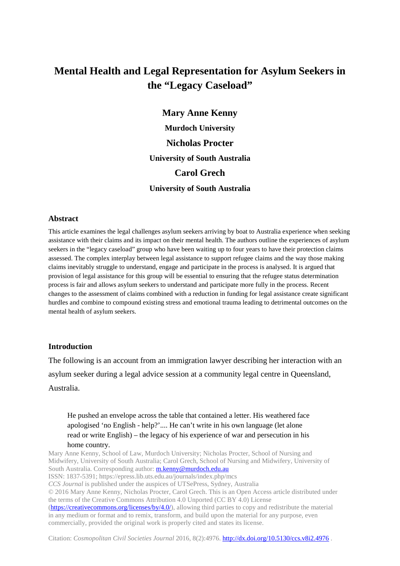# **Mental Health and Legal Representation for Asylum Seekers in the "Legacy Caseload"**

**Mary Anne Kenny Murdoch University Nicholas Procter University of South Australia Carol Grech University of South Australia**

#### **Abstract**

This article examines the legal challenges asylum seekers arriving by boat to Australia experience when seeking assistance with their claims and its impact on their mental health. The authors outline the experiences of asylum seekers in the "legacy caseload" group who have been waiting up to four years to have their protection claims assessed. The complex interplay between legal assistance to support refugee claims and the way those making claims inevitably struggle to understand, engage and participate in the process is analysed. It is argued that provision of legal assistance for this group will be essential to ensuring that the refugee status determination process is fair and allows asylum seekers to understand and participate more fully in the process. Recent changes to the assessment of claims combined with a reduction in funding for legal assistance create significant hurdles and combine to compound existing stress and emotional trauma leading to detrimental outcomes on the mental health of asylum seekers.

#### **Introduction**

The following is an account from an immigration lawyer describing her interaction with an asylum seeker during a legal advice session at a community legal centre in Queensland, Australia.

He pushed an envelope across the table that contained a letter. His weathered face apologised 'no English - help?'.... He can't write in his own language (let alone read or write English) – the legacy of his experience of war and persecution in his home country.

Mary Anne Kenny, School of Law, Murdoch University; Nicholas Procter, School of Nursing and Midwifery, University of South Australia; Carol Grech, School of Nursing and Midwifery, University of South Australia. Corresponding author: [m.kenny@murdoch.edu.au](mailto:m.kenny@murdoch.edu.au)

ISSN: 1837-5391; https://epress.lib.uts.edu.au/journals/index.php/mcs

*CCS Journal* is published under the auspices of UTSePress, Sydney, Australia

© 2016 Mary Anne Kenny, Nicholas Procter, Carol Grech. This is an Open Access article distributed under the terms of the Creative Commons Attribution 4.0 Unported (CC BY 4.0) License [\(https://creativecommons.org/licenses/by/4.0/\)](https://creativecommons.org/licenses/by/4.0/), allowing third parties to copy and redistribute the material

in any medium or format and to remix, transform, and build upon the material for any purpose, even commercially, provided the original work is properly cited and states its license.

Citation: *Cosmopolitan Civil Societies Journal* 2016, 8(2):4976.<http://dx.doi.org/10.5130/ccs.v8i2.4976> .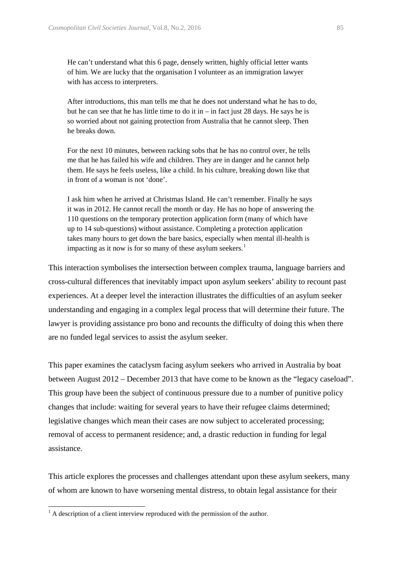He can't understand what this 6 page, densely written, highly official letter wants of him. We are lucky that the organisation I volunteer as an immigration lawyer with has access to interpreters.

After introductions, this man tells me that he does not understand what he has to do, but he can see that he has little time to do it in  $-$  in fact just 28 days. He says he is so worried about not gaining protection from Australia that he cannot sleep. Then he breaks down.

For the next 10 minutes, between racking sobs that he has no control over, he tells me that he has failed his wife and children. They are in danger and he cannot help them. He says he feels useless, like a child. In his culture, breaking down like that in front of a woman is not 'done'.

I ask him when he arrived at Christmas Island. He can't remember. Finally he says it was in 2012. He cannot recall the month or day. He has no hope of answering the 110 questions on the temporary protection application form (many of which have up to 14 sub-questions) without assistance. Completing a protection application takes many hours to get down the bare basics, especially when mental ill-health is impacting as it now is for so many of these asylum seekers.<sup>[1](#page-1-0)</sup>

This interaction symbolises the intersection between complex trauma, language barriers and cross-cultural differences that inevitably impact upon asylum seekers' ability to recount past experiences. At a deeper level the interaction illustrates the difficulties of an asylum seeker understanding and engaging in a complex legal process that will determine their future. The lawyer is providing assistance pro bono and recounts the difficulty of doing this when there are no funded legal services to assist the asylum seeker.

This paper examines the cataclysm facing asylum seekers who arrived in Australia by boat between August 2012 – December 2013 that have come to be known as the "legacy caseload". This group have been the subject of continuous pressure due to a number of punitive policy changes that include: waiting for several years to have their refugee claims determined; legislative changes which mean their cases are now subject to accelerated processing; removal of access to permanent residence; and, a drastic reduction in funding for legal assistance.

This article explores the processes and challenges attendant upon these asylum seekers, many of whom are known to have worsening mental distress, to obtain legal assistance for their

<span id="page-1-0"></span> $<sup>1</sup>$  A description of a client interview reproduced with the permission of the author.</sup>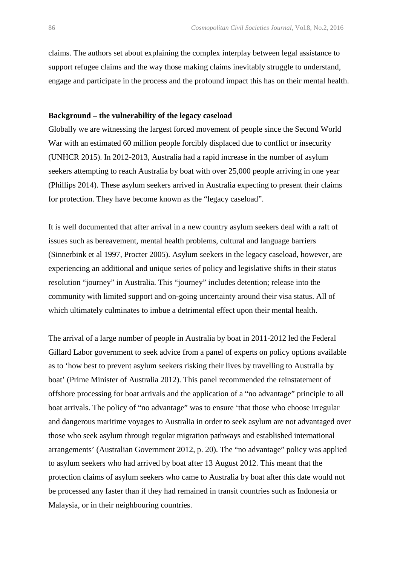claims. The authors set about explaining the complex interplay between legal assistance to support refugee claims and the way those making claims inevitably struggle to understand, engage and participate in the process and the profound impact this has on their mental health.

#### **Background – the vulnerability of the legacy caseload**

Globally we are witnessing the largest forced movement of people since the Second World War with an estimated 60 million people forcibly displaced due to conflict or insecurity (UNHCR 2015). In 2012-2013, Australia had a rapid increase in the number of asylum seekers attempting to reach Australia by boat with over 25,000 people arriving in one year (Phillips 2014). These asylum seekers arrived in Australia expecting to present their claims for protection. They have become known as the "legacy caseload".

It is well documented that after arrival in a new country asylum seekers deal with a raft of issues such as bereavement, mental health problems, cultural and language barriers (Sinnerbink et al 1997, Procter 2005). Asylum seekers in the legacy caseload, however, are experiencing an additional and unique series of policy and legislative shifts in their status resolution "journey" in Australia. This "journey" includes detention; release into the community with limited support and on-going uncertainty around their visa status. All of which ultimately culminates to imbue a detrimental effect upon their mental health.

The arrival of a large number of people in Australia by boat in 2011-2012 led the Federal Gillard Labor government to seek advice from a panel of experts on policy options available as to 'how best to prevent asylum seekers risking their lives by travelling to Australia by boat' (Prime Minister of Australia 2012). This panel recommended the reinstatement of offshore processing for boat arrivals and the application of a "no advantage" principle to all boat arrivals. The policy of "no advantage" was to ensure 'that those who choose irregular and dangerous maritime voyages to Australia in order to seek asylum are not advantaged over those who seek asylum through regular migration pathways and established international arrangements' (Australian Government 2012, p. 20). The "no advantage" policy was applied to asylum seekers who had arrived by boat after 13 August 2012. This meant that the protection claims of asylum seekers who came to Australia by boat after this date would not be processed any faster than if they had remained in transit countries such as Indonesia or Malaysia, or in their neighbouring countries.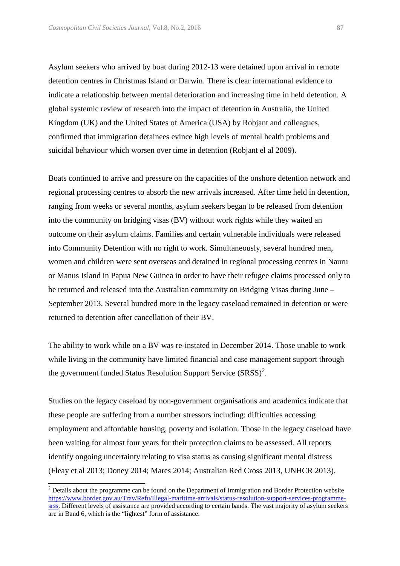Asylum seekers who arrived by boat during 2012-13 were detained upon arrival in remote detention centres in Christmas Island or Darwin. There is clear international evidence to indicate a relationship between mental deterioration and increasing time in held detention. A global systemic review of research into the impact of detention in Australia, the United Kingdom (UK) and the United States of America (USA) by Robjant and colleagues, confirmed that immigration detainees evince high levels of mental health problems and suicidal behaviour which worsen over time in detention (Robjant el al 2009).

Boats continued to arrive and pressure on the capacities of the onshore detention network and regional processing centres to absorb the new arrivals increased. After time held in detention, ranging from weeks or several months, asylum seekers began to be released from detention into the community on bridging visas (BV) without work rights while they waited an outcome on their asylum claims. Families and certain vulnerable individuals were released into Community Detention with no right to work. Simultaneously, several hundred men, women and children were sent overseas and detained in regional processing centres in Nauru or Manus Island in Papua New Guinea in order to have their refugee claims processed only to be returned and released into the Australian community on Bridging Visas during June – September 2013. Several hundred more in the legacy caseload remained in detention or were returned to detention after cancellation of their BV.

The ability to work while on a BV was re-instated in December 2014. Those unable to work while living in the community have limited financial and case management support through the government funded Status Resolution Support Service  $(SRSS)^2$  $(SRSS)^2$ .

Studies on the legacy caseload by non-government organisations and academics indicate that these people are suffering from a number stressors including: difficulties accessing employment and affordable housing, poverty and isolation. Those in the legacy caseload have been waiting for almost four years for their protection claims to be assessed. All reports identify ongoing uncertainty relating to visa status as causing significant mental distress (Fleay et al 2013; Doney 2014; Mares 2014; Australian Red Cross 2013, UNHCR 2013).

1

<span id="page-3-0"></span> $2$  Details about the programme can be found on the Department of Immigration and Border Protection website [https://www.border.gov.au/Trav/Refu/Illegal-maritime-arrivals/status-resolution-support-services-programme](https://www.border.gov.au/Trav/Refu/Illegal-maritime-arrivals/status-resolution-support-services-programme-srss)[srss.](https://www.border.gov.au/Trav/Refu/Illegal-maritime-arrivals/status-resolution-support-services-programme-srss) Different levels of assistance are provided according to certain bands. The vast majority of asylum seekers are in Band 6, which is the "lightest" form of assistance.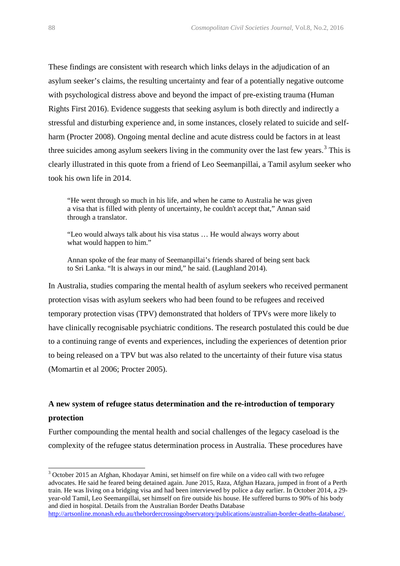These findings are consistent with research which links delays in the adjudication of an asylum seeker's claims, the resulting uncertainty and fear of a potentially negative outcome with psychological distress above and beyond the impact of pre-existing trauma (Human Rights First 2016). Evidence suggests that seeking asylum is both directly and indirectly a stressful and disturbing experience and, in some instances, closely related to suicide and selfharm (Procter 2008). Ongoing mental decline and acute distress could be factors in at least three suicides among asylum seekers living in the community over the last few years.<sup>[3](#page-4-0)</sup> This is clearly illustrated in this quote from a friend of Leo Seemanpillai, a Tamil asylum seeker who took his own life in 2014.

"He went through so much in his life, and when he came to Australia he was given a visa that is filled with plenty of uncertainty, he couldn't accept that," Annan said through a translator.

"Leo would always talk about his visa status … He would always worry about what would happen to him."

Annan spoke of the fear many of Seemanpillai's friends shared of being sent back to Sri Lanka. "It is always in our mind," he said. (Laughland 2014).

In Australia, studies comparing the mental health of asylum seekers who received permanent protection visas with asylum seekers who had been found to be refugees and received temporary protection visas (TPV) demonstrated that holders of TPVs were more likely to have clinically recognisable psychiatric conditions. The research postulated this could be due to a continuing range of events and experiences, including the experiences of detention prior to being released on a TPV but was also related to the uncertainty of their future visa status (Momartin et al 2006; Procter 2005).

# **A new system of refugee status determination and the re-introduction of temporary protection**

Further compounding the mental health and social challenges of the legacy caseload is the complexity of the refugee status determination process in Australia. These procedures have

<span id="page-4-0"></span> $3$  October 2015 an Afghan, Khodayar Amini, set himself on fire while on a video call with two refugee advocates. He said he feared being detained again. June 2015, Raza, Afghan Hazara, jumped in front of a Perth train. He was living on a bridging visa and had been interviewed by police a day earlier. In October 2014, a 29 year-old Tamil, Leo Seemanpillai, set himself on fire outside his house. He suffered burns to 90% of his body and died in hospital. Details from the Australian Border Deaths Database

[http://artsonline.monash.edu.au/thebordercrossingobservatory/publications/australian-border-deaths-database/.](http://artsonline.monash.edu.au/thebordercrossingobservatory/publications/australian-border-deaths-database/)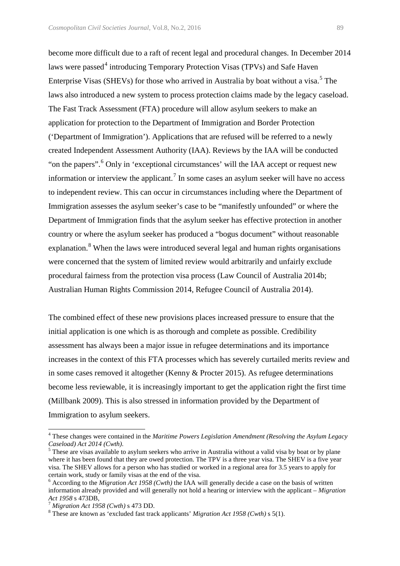become more difficult due to a raft of recent legal and procedural changes. In December 2014 laws were passed<sup>[4](#page-5-0)</sup> introducing Temporary Protection Visas (TPVs) and Safe Haven Enterprise Visas (SHEVs) for those who arrived in Australia by boat without a visa.<sup>[5](#page-5-1)</sup> The laws also introduced a new system to process protection claims made by the legacy caseload. The Fast Track Assessment (FTA) procedure will allow asylum seekers to make an application for protection to the Department of Immigration and Border Protection ('Department of Immigration'). Applications that are refused will be referred to a newly created Independent Assessment Authority (IAA). Reviews by the IAA will be conducted "on the papers".<sup>[6](#page-5-2)</sup> Only in 'exceptional circumstances' will the IAA accept or request new information or interview the applicant.<sup>[7](#page-5-3)</sup> In some cases an asylum seeker will have no access to independent review. This can occur in circumstances including where the Department of Immigration assesses the asylum seeker's case to be "manifestly unfounded" or where the Department of Immigration finds that the asylum seeker has effective protection in another country or where the asylum seeker has produced a "bogus document" without reasonable explanation.<sup>[8](#page-5-4)</sup> When the laws were introduced several legal and human rights organisations were concerned that the system of limited review would arbitrarily and unfairly exclude procedural fairness from the protection visa process (Law Council of Australia 2014b; Australian Human Rights Commission 2014, Refugee Council of Australia 2014).

The combined effect of these new provisions places increased pressure to ensure that the initial application is one which is as thorough and complete as possible. Credibility assessment has always been a major issue in refugee determinations and its importance increases in the context of this FTA processes which has severely curtailed merits review and in some cases removed it altogether (Kenny & Procter 2015). As refugee determinations become less reviewable, it is increasingly important to get the application right the first time (Millbank 2009). This is also stressed in information provided by the Department of Immigration to asylum seekers.

<span id="page-5-0"></span><sup>&</sup>lt;sup>4</sup> These changes were contained in the *Maritime Powers Legislation Amendment (Resolving the Asylum Legacy Caseload) Act 2014 (Cwth).* 

<span id="page-5-1"></span><sup>&</sup>lt;sup>5</sup> These are visas available to asylum seekers who arrive in Australia without a valid visa by boat or by plane where it has been found that they are owed protection. The TPV is a three year visa. The SHEV is a five year visa. The SHEV allows for a person who has studied or worked in a regional area for 3.5 years to apply for certain work, study or family visas at the end of the visa.

<span id="page-5-2"></span><sup>6</sup> According to the *Migration Act 1958 (Cwth)* the IAA will generally decide a case on the basis of written information already provided and will generally not hold a hearing or interview with the applicant – *Migration Act 1958 s* 473DB,<br><sup>7</sup> *Migration Act 1958 (Cwth) s 473 DD.*<br><sup>8</sup> These are known as 'excluded fast track applicants' *Migration Act 1958 (Cwth) s 5(1).* 

<span id="page-5-3"></span>

<span id="page-5-4"></span>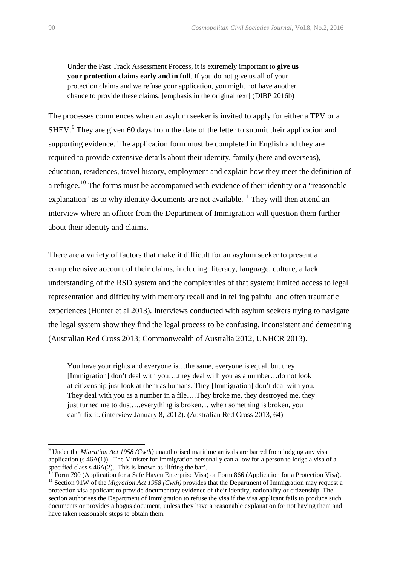Under the Fast Track Assessment Process, it is extremely important to **give us your protection claims early and in full**. If you do not give us all of your protection claims and we refuse your application, you might not have another chance to provide these claims. [emphasis in the original text] (DIBP 2016b)

The processes commences when an asylum seeker is invited to apply for either a TPV or a SHEV.<sup>[9](#page-6-0)</sup> They are given 60 days from the date of the letter to submit their application and supporting evidence. The application form must be completed in English and they are required to provide extensive details about their identity, family (here and overseas), education, residences, travel history, employment and explain how they meet the definition of a refugee.<sup>[10](#page-6-1)</sup> The forms must be accompanied with evidence of their identity or a "reasonable" explanation" as to why identity documents are not available.<sup>[11](#page-6-2)</sup> They will then attend an interview where an officer from the Department of Immigration will question them further about their identity and claims.

There are a variety of factors that make it difficult for an asylum seeker to present a comprehensive account of their claims, including: literacy, language, culture, a lack understanding of the RSD system and the complexities of that system; limited access to legal representation and difficulty with memory recall and in telling painful and often traumatic experiences (Hunter et al 2013). Interviews conducted with asylum seekers trying to navigate the legal system show they find the legal process to be confusing, inconsistent and demeaning (Australian Red Cross 2013; Commonwealth of Australia 2012, UNHCR 2013).

You have your rights and everyone is…the same, everyone is equal, but they [Immigration] don't deal with you….they deal with you as a number…do not look at citizenship just look at them as humans. They [Immigration] don't deal with you. They deal with you as a number in a file….They broke me, they destroyed me, they just turned me to dust….everything is broken… when something is broken, you can't fix it. (interview January 8, 2012). (Australian Red Cross 2013, 64)

<span id="page-6-0"></span><sup>9</sup> Under the *Migration Act 1958 (Cwth)* unauthorised maritime arrivals are barred from lodging any visa application (s  $\widetilde{46A(1)}$ ). The Minister for Immigration personally can allow for a person to lodge a visa of a specified class s 46A(2). This is known as 'lifting the bar'.<br><sup>10</sup> Form 790 (Application for a Safe Haven Enterprise Visa) or Form 866 (Application for a Protection Visa).

<span id="page-6-1"></span>

<span id="page-6-2"></span><sup>&</sup>lt;sup>11</sup> Section 91W of the *Migration Act 1958 (Cwth)* provides that the Department of Immigration may request a protection visa applicant to provide documentary evidence of their identity, nationality or citizenship. The section authorises the Department of Immigration to refuse the visa if the visa applicant fails to produce such documents or provides a bogus document, unless they have a reasonable explanation for not having them and have taken reasonable steps to obtain them.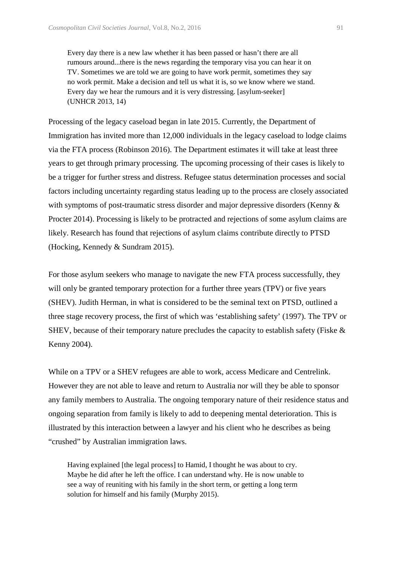Every day there is a new law whether it has been passed or hasn't there are all rumours around...there is the news regarding the temporary visa you can hear it on TV. Sometimes we are told we are going to have work permit, sometimes they say no work permit. Make a decision and tell us what it is, so we know where we stand. Every day we hear the rumours and it is very distressing. [asylum-seeker] (UNHCR 2013, 14)

Processing of the legacy caseload began in late 2015. Currently, the Department of Immigration has invited more than 12,000 individuals in the legacy caseload to lodge claims via the FTA process (Robinson 2016). The Department estimates it will take at least three years to get through primary processing. The upcoming processing of their cases is likely to be a trigger for further stress and distress. Refugee status determination processes and social factors including uncertainty regarding status leading up to the process are closely associated with symptoms of post-traumatic stress disorder and major depressive disorders (Kenny & Procter 2014). Processing is likely to be protracted and rejections of some asylum claims are likely. Research has found that rejections of asylum claims contribute directly to PTSD (Hocking, Kennedy & Sundram 2015).

For those asylum seekers who manage to navigate the new FTA process successfully, they will only be granted temporary protection for a further three years (TPV) or five years (SHEV). Judith Herman, in what is considered to be the seminal text on PTSD, outlined a three stage recovery process, the first of which was 'establishing safety' (1997). The TPV or SHEV, because of their temporary nature precludes the capacity to establish safety (Fiske & Kenny 2004).

While on a TPV or a SHEV refugees are able to work, access Medicare and Centrelink. However they are not able to leave and return to Australia nor will they be able to sponsor any family members to Australia. The ongoing temporary nature of their residence status and ongoing separation from family is likely to add to deepening mental deterioration. This is illustrated by this interaction between a lawyer and his client who he describes as being "crushed" by Australian immigration laws.

Having explained [the legal process] to Hamid, I thought he was about to cry. Maybe he did after he left the office. I can understand why. He is now unable to see a way of reuniting with his family in the short term, or getting a long term solution for himself and his family (Murphy 2015).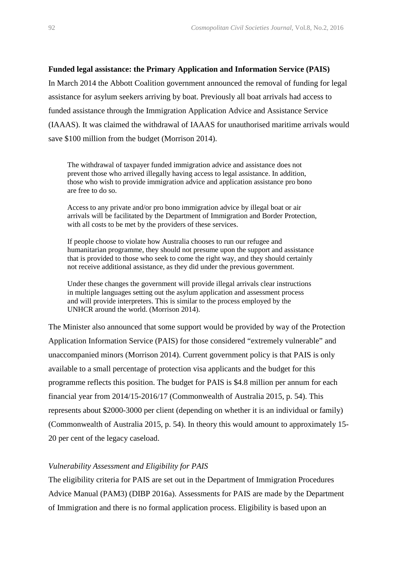#### **Funded legal assistance: the Primary Application and Information Service (PAIS)**

In March 2014 the Abbott Coalition government announced the removal of funding for legal assistance for asylum seekers arriving by boat. Previously all boat arrivals had access to funded assistance through the Immigration Application Advice and Assistance Service (IAAAS). It was claimed the withdrawal of IAAAS for unauthorised maritime arrivals would save \$100 million from the budget (Morrison 2014).

The withdrawal of taxpayer funded immigration advice and assistance does not prevent those who arrived illegally having access to legal assistance. In addition, those who wish to provide immigration advice and application assistance pro bono are free to do so.

Access to any private and/or pro bono immigration advice by illegal boat or air arrivals will be facilitated by the Department of Immigration and Border Protection, with all costs to be met by the providers of these services.

If people choose to violate how Australia chooses to run our refugee and humanitarian programme, they should not presume upon the support and assistance that is provided to those who seek to come the right way, and they should certainly not receive additional assistance, as they did under the previous government.

Under these changes the government will provide illegal arrivals clear instructions in multiple languages setting out the asylum application and assessment process and will provide interpreters. This is similar to the process employed by the UNHCR around the world. (Morrison 2014).

The Minister also announced that some support would be provided by way of the Protection Application Information Service (PAIS) for those considered "extremely vulnerable" and unaccompanied minors (Morrison 2014). Current government policy is that PAIS is only available to a small percentage of protection visa applicants and the budget for this programme reflects this position. The budget for PAIS is \$4.8 million per annum for each financial year from 2014/15-2016/17 (Commonwealth of Australia 2015, p. 54). This represents about \$2000-3000 per client (depending on whether it is an individual or family) (Commonwealth of Australia 2015, p. 54). In theory this would amount to approximately 15- 20 per cent of the legacy caseload.

#### *Vulnerability Assessment and Eligibility for PAIS*

The eligibility criteria for PAIS are set out in the Department of Immigration Procedures Advice Manual (PAM3) (DIBP 2016a). Assessments for PAIS are made by the Department of Immigration and there is no formal application process. Eligibility is based upon an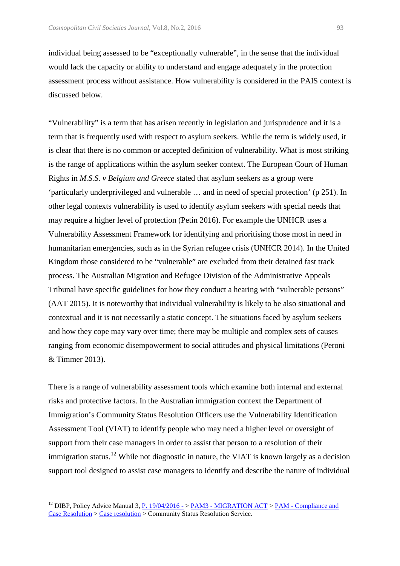individual being assessed to be "exceptionally vulnerable", in the sense that the individual would lack the capacity or ability to understand and engage adequately in the protection assessment process without assistance. How vulnerability is considered in the PAIS context is discussed below.

"Vulnerability" is a term that has arisen recently in legislation and jurisprudence and it is a term that is frequently used with respect to asylum seekers. While the term is widely used, it is clear that there is no common or accepted definition of vulnerability. What is most striking is the range of applications within the asylum seeker context. The European Court of Human Rights in *M.S.S. v Belgium and Greece* stated that asylum seekers as a group were 'particularly underprivileged and vulnerable … and in need of special protection' (p 251). In other legal contexts vulnerability is used to identify asylum seekers with special needs that may require a higher level of protection (Petin 2016). For example the UNHCR uses a Vulnerability Assessment Framework for identifying and prioritising those most in need in humanitarian emergencies, such as in the Syrian refugee crisis (UNHCR 2014). In the United Kingdom those considered to be "vulnerable" are excluded from their detained fast track process. The Australian Migration and Refugee Division of the Administrative Appeals Tribunal have specific guidelines for how they conduct a hearing with "vulnerable persons" (AAT 2015). It is noteworthy that individual vulnerability is likely to be also situational and contextual and it is not necessarily a static concept. The situations faced by asylum seekers and how they cope may vary over time; there may be multiple and complex sets of causes ranging from economic disempowerment to social attitudes and physical limitations (Peroni & Timmer 2013).

There is a range of vulnerability assessment tools which examine both internal and external risks and protective factors. In the Australian immigration context the Department of Immigration's Community Status Resolution Officers use the Vulnerability Identification Assessment Tool (VIAT) to identify people who may need a higher level or oversight of support from their case managers in order to assist that person to a resolution of their immigration status.<sup>[12](#page-9-0)</sup> While not diagnostic in nature, the VIAT is known largely as a decision support tool designed to assist case managers to identify and describe the nature of individual

1

<span id="page-9-0"></span><sup>&</sup>lt;sup>12</sup> DIBP, Policy Advice Manual 3,  $P. 19/04/2016 - PAM3 - MIGRATION ACT > PAM - Compliance and$  $P. 19/04/2016 - PAM3 - MIGRATION ACT > PAM - Compliance and$  $P. 19/04/2016 - PAM3 - MIGRATION ACT > PAM - Compliance and$ [Case Resolution](https://legend.online.immi.gov.au/Migration/2016/19-04-2016/legend_current_mp/Pages/_document00001/level%20100006.aspx) > [Case resolution](https://legend.online.immi.gov.au/Migration/2016/19-04-2016/legend_current_mp/Pages/_document00001/_level%20100006/level%20200068.aspx) > Community Status Resolution Service.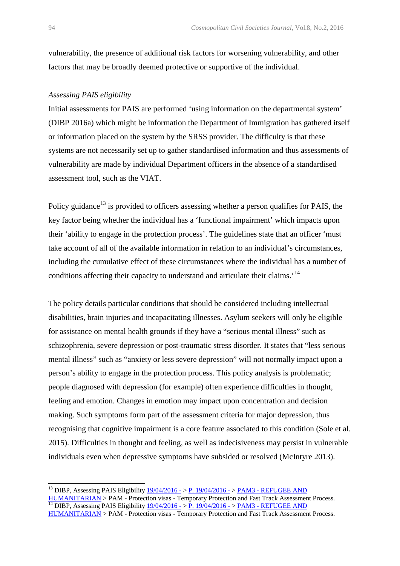vulnerability, the presence of additional risk factors for worsening vulnerability, and other factors that may be broadly deemed protective or supportive of the individual.

#### *Assessing PAIS eligibility*

Initial assessments for PAIS are performed 'using information on the departmental system' (DIBP 2016a) which might be information the Department of Immigration has gathered itself or information placed on the system by the SRSS provider. The difficulty is that these systems are not necessarily set up to gather standardised information and thus assessments of vulnerability are made by individual Department officers in the absence of a standardised assessment tool, such as the VIAT.

Policy guidance<sup>[13](#page-10-0)</sup> is provided to officers assessing whether a person qualifies for PAIS, the key factor being whether the individual has a 'functional impairment' which impacts upon their 'ability to engage in the protection process'. The guidelines state that an officer 'must take account of all of the available information in relation to an individual's circumstances, including the cumulative effect of these circumstances where the individual has a number of conditions affecting their capacity to understand and articulate their claims.<sup>[14](#page-10-1)</sup>

The policy details particular conditions that should be considered including intellectual disabilities, brain injuries and incapacitating illnesses. Asylum seekers will only be eligible for assistance on mental health grounds if they have a "serious mental illness" such as schizophrenia, severe depression or post-traumatic stress disorder. It states that "less serious mental illness" such as "anxiety or less severe depression" will not normally impact upon a person's ability to engage in the protection process. This policy analysis is problematic; people diagnosed with depression (for example) often experience difficulties in thought, feeling and emotion. Changes in emotion may impact upon concentration and decision making. Such symptoms form part of the assessment criteria for major depression, thus recognising that cognitive impairment is a core feature associated to this condition (Sole et al. 2015). Difficulties in thought and feeling, as well as indecisiveness may persist in vulnerable individuals even when depressive symptoms have subsided or resolved (McIntyre 2013).

1

<span id="page-10-1"></span><span id="page-10-0"></span><sup>&</sup>lt;sup>13</sup> DIBP, Assessing PAIS Eligibility  $\frac{19}{04/2016}$  -> P.  $\frac{19}{04/2016}$  -> PAM3 - REFUGEE AND  $\frac{HUMANTARIAN}{^{14}}$  DIBP, Assessing PAIS Eligibility  $\frac{19/04/2016}{^{14}}$  DIBP, Assessing PAIS Eligibility  $\frac{19/04/2016}{^{14}}$   $>$  P. 19/04/2016 -  $>$  PAM3 - REFUGEE AND [HUMANITARIAN](https://legend.online.immi.gov.au/Migration/2016/19-04-2016/legend_current_mp/Pages/document00005.aspx) > PAM - Protection visas - Temporary Protection and Fast Track Assessment Process.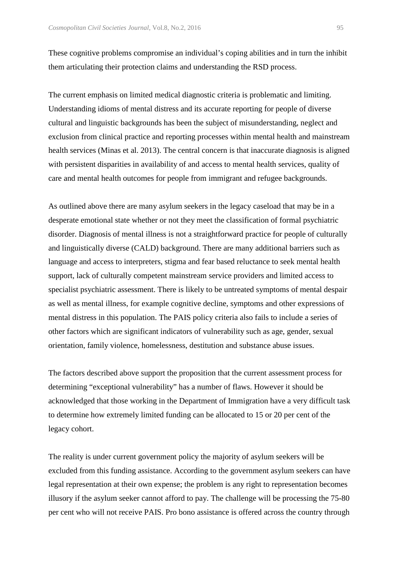These cognitive problems compromise an individual's coping abilities and in turn the inhibit them articulating their protection claims and understanding the RSD process.

The current emphasis on limited medical diagnostic criteria is problematic and limiting. Understanding idioms of mental distress and its accurate reporting for people of diverse cultural and linguistic backgrounds has been the subject of misunderstanding, neglect and exclusion from clinical practice and reporting processes within mental health and mainstream health services (Minas et al. 2013). The central concern is that inaccurate diagnosis is aligned with persistent disparities in availability of and access to mental health services, quality of care and mental health outcomes for people from immigrant and refugee backgrounds.

As outlined above there are many asylum seekers in the legacy caseload that may be in a desperate emotional state whether or not they meet the classification of formal psychiatric disorder. Diagnosis of mental illness is not a straightforward practice for people of culturally and linguistically diverse (CALD) background. There are many additional barriers such as language and access to interpreters, stigma and fear based reluctance to seek mental health support, lack of culturally competent mainstream service providers and limited access to specialist psychiatric assessment. There is likely to be untreated symptoms of mental despair as well as mental illness, for example cognitive decline, symptoms and other expressions of mental distress in this population. The PAIS policy criteria also fails to include a series of other factors which are significant indicators of vulnerability such as age, gender, sexual orientation, family violence, homelessness, destitution and substance abuse issues.

The factors described above support the proposition that the current assessment process for determining "exceptional vulnerability" has a number of flaws. However it should be acknowledged that those working in the Department of Immigration have a very difficult task to determine how extremely limited funding can be allocated to 15 or 20 per cent of the legacy cohort.

The reality is under current government policy the majority of asylum seekers will be excluded from this funding assistance. According to the government asylum seekers can have legal representation at their own expense; the problem is any right to representation becomes illusory if the asylum seeker cannot afford to pay. The challenge will be processing the 75-80 per cent who will not receive PAIS. Pro bono assistance is offered across the country through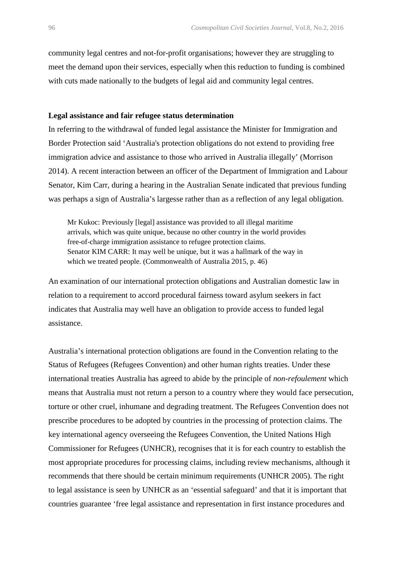community legal centres and not-for-profit organisations; however they are struggling to meet the demand upon their services, especially when this reduction to funding is combined with cuts made nationally to the budgets of legal aid and community legal centres.

#### **Legal assistance and fair refugee status determination**

In referring to the withdrawal of funded legal assistance the Minister for Immigration and Border Protection said 'Australia's protection obligations do not extend to providing free immigration advice and assistance to those who arrived in Australia illegally' (Morrison 2014). A recent interaction between an officer of the Department of Immigration and Labour Senator, Kim Carr, during a hearing in the Australian Senate indicated that previous funding was perhaps a sign of Australia's largesse rather than as a reflection of any legal obligation.

Mr Kukoc: Previously [legal] assistance was provided to all illegal maritime arrivals, which was quite unique, because no other country in the world provides free-of-charge immigration assistance to refugee protection claims. Senator KIM CARR: It may well be unique, but it was a hallmark of the way in which we treated people. (Commonwealth of Australia 2015, p. 46)

An examination of our international protection obligations and Australian domestic law in relation to a requirement to accord procedural fairness toward asylum seekers in fact indicates that Australia may well have an obligation to provide access to funded legal assistance.

Australia's international protection obligations are found in the Convention relating to the Status of Refugees (Refugees Convention) and other human rights treaties. Under these international treaties Australia has agreed to abide by the principle of *non-refoulement* which means that Australia must not return a person to a country where they would face persecution, torture or other cruel, inhumane and degrading treatment. The Refugees Convention does not prescribe procedures to be adopted by countries in the processing of protection claims. The key international agency overseeing the Refugees Convention, the United Nations High Commissioner for Refugees (UNHCR), recognises that it is for each country to establish the most appropriate procedures for processing claims, including review mechanisms, although it recommends that there should be certain minimum requirements (UNHCR 2005). The right to legal assistance is seen by UNHCR as an 'essential safeguard' and that it is important that countries guarantee 'free legal assistance and representation in first instance procedures and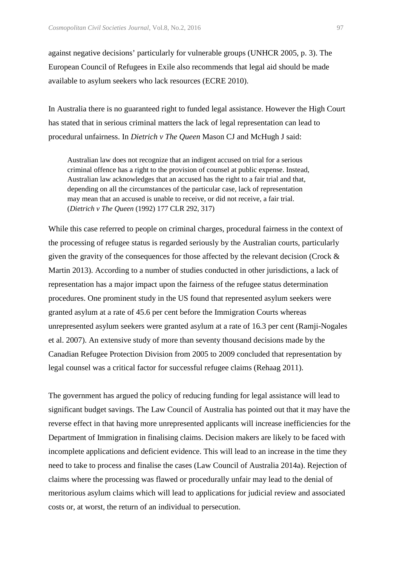against negative decisions' particularly for vulnerable groups (UNHCR 2005, p. 3). The European Council of Refugees in Exile also recommends that legal aid should be made available to asylum seekers who lack resources (ECRE 2010).

In Australia there is no guaranteed right to funded legal assistance. However the High Court has stated that in serious criminal matters the lack of legal representation can lead to procedural unfairness. In *Dietrich v The Queen* Mason CJ and McHugh J said:

Australian law does not recognize that an indigent accused on trial for a serious criminal offence has a right to the provision of counsel at public expense. Instead, Australian law acknowledges that an accused has the right to a fair trial and that, depending on all the circumstances of the particular case, lack of representation may mean that an accused is unable to receive, or did not receive, a fair trial. (*Dietrich v The Queen* (1992) 177 CLR 292, 317)

While this case referred to people on criminal charges, procedural fairness in the context of the processing of refugee status is regarded seriously by the Australian courts, particularly given the gravity of the consequences for those affected by the relevant decision (Crock & Martin 2013). According to a number of studies conducted in other jurisdictions, a lack of representation has a major impact upon the fairness of the refugee status determination procedures. One prominent study in the US found that represented asylum seekers were granted asylum at a rate of 45.6 per cent before the Immigration Courts whereas unrepresented asylum seekers were granted asylum at a rate of 16.3 per cent (Ramji-Nogales et al. 2007). An extensive study of more than seventy thousand decisions made by the Canadian Refugee Protection Division from 2005 to 2009 concluded that representation by legal counsel was a critical factor for successful refugee claims (Rehaag 2011).

The government has argued the policy of reducing funding for legal assistance will lead to significant budget savings. The Law Council of Australia has pointed out that it may have the reverse effect in that having more unrepresented applicants will increase inefficiencies for the Department of Immigration in finalising claims. Decision makers are likely to be faced with incomplete applications and deficient evidence. This will lead to an increase in the time they need to take to process and finalise the cases (Law Council of Australia 2014a). Rejection of claims where the processing was flawed or procedurally unfair may lead to the denial of meritorious asylum claims which will lead to applications for judicial review and associated costs or, at worst, the return of an individual to persecution.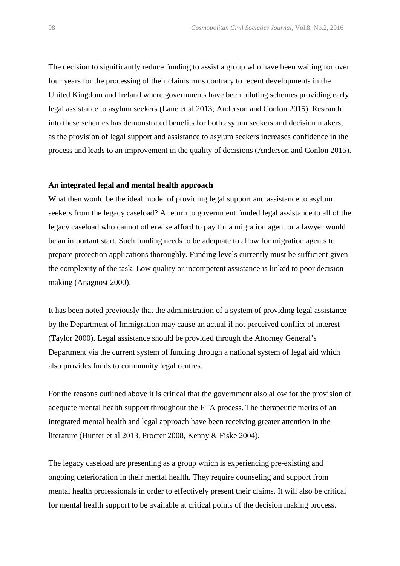The decision to significantly reduce funding to assist a group who have been waiting for over four years for the processing of their claims runs contrary to recent developments in the United Kingdom and Ireland where governments have been piloting schemes providing early legal assistance to asylum seekers (Lane et al 2013; Anderson and Conlon 2015). Research into these schemes has demonstrated benefits for both asylum seekers and decision makers, as the provision of legal support and assistance to asylum seekers increases confidence in the process and leads to an improvement in the quality of decisions (Anderson and Conlon 2015).

#### **An integrated legal and mental health approach**

What then would be the ideal model of providing legal support and assistance to asylum seekers from the legacy caseload? A return to government funded legal assistance to all of the legacy caseload who cannot otherwise afford to pay for a migration agent or a lawyer would be an important start. Such funding needs to be adequate to allow for migration agents to prepare protection applications thoroughly. Funding levels currently must be sufficient given the complexity of the task. Low quality or incompetent assistance is linked to poor decision making (Anagnost 2000).

It has been noted previously that the administration of a system of providing legal assistance by the Department of Immigration may cause an actual if not perceived conflict of interest (Taylor 2000). Legal assistance should be provided through the Attorney General's Department via the current system of funding through a national system of legal aid which also provides funds to community legal centres.

For the reasons outlined above it is critical that the government also allow for the provision of adequate mental health support throughout the FTA process. The therapeutic merits of an integrated mental health and legal approach have been receiving greater attention in the literature (Hunter et al 2013, Procter 2008, Kenny & Fiske 2004).

The legacy caseload are presenting as a group which is experiencing pre-existing and ongoing deterioration in their mental health. They require counseling and support from mental health professionals in order to effectively present their claims. It will also be critical for mental health support to be available at critical points of the decision making process.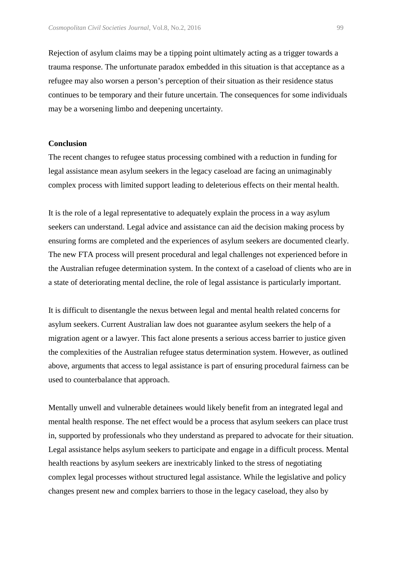Rejection of asylum claims may be a tipping point ultimately acting as a trigger towards a trauma response. The unfortunate paradox embedded in this situation is that acceptance as a refugee may also worsen a person's perception of their situation as their residence status continues to be temporary and their future uncertain. The consequences for some individuals may be a worsening limbo and deepening uncertainty.

#### **Conclusion**

The recent changes to refugee status processing combined with a reduction in funding for legal assistance mean asylum seekers in the legacy caseload are facing an unimaginably complex process with limited support leading to deleterious effects on their mental health.

It is the role of a legal representative to adequately explain the process in a way asylum seekers can understand. Legal advice and assistance can aid the decision making process by ensuring forms are completed and the experiences of asylum seekers are documented clearly. The new FTA process will present procedural and legal challenges not experienced before in the Australian refugee determination system. In the context of a caseload of clients who are in a state of deteriorating mental decline, the role of legal assistance is particularly important.

It is difficult to disentangle the nexus between legal and mental health related concerns for asylum seekers. Current Australian law does not guarantee asylum seekers the help of a migration agent or a lawyer. This fact alone presents a serious access barrier to justice given the complexities of the Australian refugee status determination system. However, as outlined above, arguments that access to legal assistance is part of ensuring procedural fairness can be used to counterbalance that approach.

Mentally unwell and vulnerable detainees would likely benefit from an integrated legal and mental health response. The net effect would be a process that asylum seekers can place trust in, supported by professionals who they understand as prepared to advocate for their situation. Legal assistance helps asylum seekers to participate and engage in a difficult process. Mental health reactions by asylum seekers are inextricably linked to the stress of negotiating complex legal processes without structured legal assistance. While the legislative and policy changes present new and complex barriers to those in the legacy caseload, they also by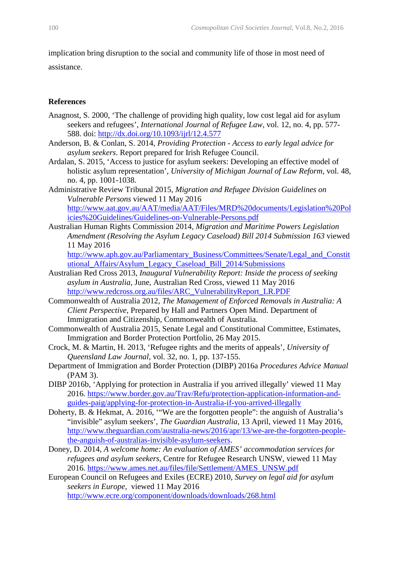implication bring disruption to the social and community life of those in most need of assistance.

#### **References**

- Anagnost, S. 2000, 'The challenge of providing high quality, low cost legal aid for asylum seekers and refugees', *International Journal of Refugee Law,* vol. 12, no. 4, pp. 577- 588. doi:<http://dx.doi.org/10.1093/ijrl/12.4.577>
- Anderson, B. & Conlan, S. 2014, *Providing Protection - Access to early legal advice for asylum seekers*. Report prepared for Irish Refugee Council.
- Ardalan, S. 2015, 'Access to justice for asylum seekers: Developing an effective model of holistic asylum representation', *University of Michigan Journal of Law Reform,* vol. 48, no. 4, pp. 1001-1038.
- Administrative Review Tribunal 2015, *Migration and Refugee Division Guidelines on Vulnerable Persons* viewed 11 May 2016 [http://www.aat.gov.au/AAT/media/AAT/Files/MRD%20documents/Legislation%20Pol](http://www.aat.gov.au/AAT/media/AAT/Files/MRD%20documents/Legislation%20Policies%20Guidelines/Guidelines-on-Vulnerable-Persons.pdf) [icies%20Guidelines/Guidelines-on-Vulnerable-Persons.pdf](http://www.aat.gov.au/AAT/media/AAT/Files/MRD%20documents/Legislation%20Policies%20Guidelines/Guidelines-on-Vulnerable-Persons.pdf)
- Australian Human Rights Commission 2014, *Migration and Maritime Powers Legislation Amendment (Resolving the Asylum Legacy Caseload) Bill 2014 Submission 163* viewed 11 May 2016

[http://www.aph.gov.au/Parliamentary\\_Business/Committees/Senate/Legal\\_and\\_Constit](http://www.aph.gov.au/Parliamentary_Business/Committees/Senate/Legal_and_Constitutional_Affairs/Asylum_Legacy_Caseload_Bill_2014/Submissions) [utional\\_Affairs/Asylum\\_Legacy\\_Caseload\\_Bill\\_2014/Submissions](http://www.aph.gov.au/Parliamentary_Business/Committees/Senate/Legal_and_Constitutional_Affairs/Asylum_Legacy_Caseload_Bill_2014/Submissions)

- Australian Red Cross 2013, *Inaugural Vulnerability Report: Inside the process of seeking asylum in Australia,* June, Australian Red Cross, viewed 11 May 2016 [http://www.redcross.org.au/files/ARC\\_VulnerabilityReport\\_LR.PDF](http://www.redcross.org.au/files/ARC_VulnerabilityReport_LR.PDF)
- Commonwealth of Australia 2012, *The Management of Enforced Removals in Australia: A Client Perspective*, Prepared by Hall and Partners Open Mind. Department of Immigration and Citizenship, Commonwealth of Australia.
- Commonwealth of Australia 2015, Senate Legal and Constitutional Committee, Estimates, Immigration and Border Protection Portfolio, 26 May 2015.
- Crock, M. & Martin, H. 2013, 'Refugee rights and the merits of appeals', *University of Queensland Law Journal,* vol. 32, no. 1, pp. 137-155.
- Department of Immigration and Border Protection (DIBP) 2016a *Procedures Advice Manual* (PAM 3).
- DIBP 2016b, 'Applying for protection in Australia if you arrived illegally' viewed 11 May 2016. [https://www.border.gov.au/Trav/Refu/protection-application-information-and](https://www.border.gov.au/Trav/Refu/protection-application-information-and-guides-paig/applying-for-protection-in-Australia-if-you-arrived-illegally)[guides-paig/applying-for-protection-in-Australia-if-you-arrived-illegally](https://www.border.gov.au/Trav/Refu/protection-application-information-and-guides-paig/applying-for-protection-in-Australia-if-you-arrived-illegally)
- Doherty, B. & Hekmat, A. 2016, '"We are the forgotten people": the anguish of Australia's "invisible" asylum seekers', *The Guardian Australia,* 13 April, viewed 11 May 2016, [http://www.theguardian.com/australia-news/2016/apr/13/we-are-the-forgotten-people](http://www.theguardian.com/australia-news/2016/apr/13/we-are-the-forgotten-people-the-anguish-of-australias-invisible-asylum-seekers)[the-anguish-of-australias-invisible-asylum-seekers.](http://www.theguardian.com/australia-news/2016/apr/13/we-are-the-forgotten-people-the-anguish-of-australias-invisible-asylum-seekers)
- Doney, D. 2014, *A welcome home: An evaluation of AMES' accommodation services for refugees and asylum seekers*, Centre for Refugee Research UNSW, viewed 11 May 2016. [https://www.ames.net.au/files/file/Settlement/AMES\\_UNSW.pdf](https://www.ames.net.au/files/file/Settlement/AMES_UNSW.pdf)
- European Council on Refugees and Exiles (ECRE) 2010, *Survey on legal aid for asylum seekers in Europe,* viewed 11 May 2016 <http://www.ecre.org/component/downloads/downloads/268.html>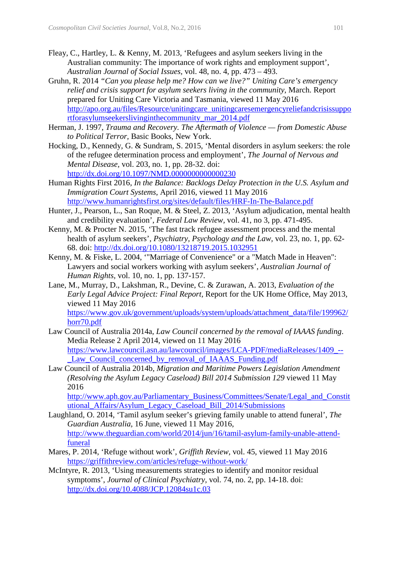- Fleay, C., Hartley, L. & Kenny, M. 2013, 'Refugees and asylum seekers living in the Australian community: The importance of work rights and employment support', *Australian Journal of Social Issues,* vol. 48, no. 4, pp. 473 – 493.
- Gruhn, R. 2014 *"Can you please help me? How can we live?" Uniting Care's emergency relief and crisis support for asylum seekers living in the community,* March. Report prepared for Uniting Care Victoria and Tasmania, viewed 11 May 2016 [http://apo.org.au/files/Resource/unitingcare\\_unitingcaresemergencyreliefandcrisissuppo](http://apo.org.au/files/Resource/unitingcare_unitingcaresemergencyreliefandcrisissupportforasylumseekerslivinginthecommunity_mar_2014.pdf) [rtforasylumseekerslivinginthecommunity\\_mar\\_2014.pdf](http://apo.org.au/files/Resource/unitingcare_unitingcaresemergencyreliefandcrisissupportforasylumseekerslivinginthecommunity_mar_2014.pdf)
- Herman, J. 1997, *Trauma and Recovery. The Aftermath of Violence — from Domestic Abuse to Political Terror,* Basic Books, New York.
- Hocking, D., Kennedy, G. & Sundram, S. 2015, 'Mental disorders in asylum seekers: the role of the refugee determination process and employment', *The Journal of Nervous and Mental Disease,* vol. 203, no. 1, pp. 28-32. doi: <http://dx.doi.org/10.1097/NMD.0000000000000230>
- Human Rights First 2016, *In the Balance: Backlogs Delay Protection in the U.S. Asylum and Immigration Court Systems*, April 2016, viewed 11 May 2016 <http://www.humanrightsfirst.org/sites/default/files/HRF-In-The-Balance.pdf>
- Hunter, J., Pearson, L., San Roque, M. & Steel, Z. 2013, 'Asylum adjudication, mental health and credibility evaluation', *Federal Law Review,* vol. 41, no 3, pp. 471-495.
- Kenny, M. & Procter N. 2015, 'The fast track refugee assessment process and the mental health of asylum seekers', *Psychiatry, Psychology and the Law,* vol. 23, no. 1, pp. 62- 68. doi:<http://dx.doi.org/10.1080/13218719.2015.1032951>
- Kenny, M. & Fiske, L. 2004, '"Marriage of Convenience" or a "Match Made in Heaven": Lawyers and social workers working with asylum seekers', *Australian Journal of Human Rights,* vol. 10, no. 1, pp. 137-157.
- Lane, M., Murray, D., Lakshman, R., Devine, C. & Zurawan, A. 2013, *Evaluation of the Early Legal Advice Project: Final Report,* Report for the UK Home Office, May 2013, viewed 11 May 2016 [https://www.gov.uk/government/uploads/system/uploads/attachment\\_data/file/199962/](https://www.gov.uk/government/uploads/system/uploads/attachment_data/file/199962/horr70.pdf) [horr70.pdf](https://www.gov.uk/government/uploads/system/uploads/attachment_data/file/199962/horr70.pdf)
- Law Council of Australia 2014a, *Law Council concerned by the removal of IAAAS funding*. Media Release 2 April 2014, viewed on 11 May 2016 [https://www.lawcouncil.asn.au/lawcouncil/images/LCA-PDF/mediaReleases/1409\\_--](https://www.lawcouncil.asn.au/lawcouncil/images/LCA-PDF/mediaReleases/1409_--_Law_Council_concerned_by_removal_of_IAAAS_Funding.pdf) Law Council concerned by removal of IAAAS Funding.pdf
- Law Council of Australia 2014b*, Migration and Maritime Powers Legislation Amendment (Resolving the Asylum Legacy Caseload) Bill 2014 Submission 129* viewed 11 May 2016

[http://www.aph.gov.au/Parliamentary\\_Business/Committees/Senate/Legal\\_and\\_Constit](http://www.aph.gov.au/Parliamentary_Business/Committees/Senate/Legal_and_Constitutional_Affairs/Asylum_Legacy_Caseload_Bill_2014/Submissions) [utional\\_Affairs/Asylum\\_Legacy\\_Caseload\\_Bill\\_2014/Submissions](http://www.aph.gov.au/Parliamentary_Business/Committees/Senate/Legal_and_Constitutional_Affairs/Asylum_Legacy_Caseload_Bill_2014/Submissions)

- Laughland, O. 2014, 'Tamil asylum seeker's grieving family unable to attend funeral', *The Guardian Australia,* 16 June, viewed 11 May 2016, [http://www.theguardian.com/world/2014/jun/16/tamil-asylum-family-unable-attend](http://www.theguardian.com/world/2014/jun/16/tamil-asylum-family-unable-attend-funeral)[funeral](http://www.theguardian.com/world/2014/jun/16/tamil-asylum-family-unable-attend-funeral)
- Mares, P. 2014, 'Refuge without work', *Griffith Review,* vol. 45, viewed 11 May 2016 <https://griffithreview.com/articles/refuge-without-work/>
- McIntyre, R. 2013, 'Using measurements strategies to identify and monitor residual symptoms', *Journal of Clinical Psychiatry,* vol. 74, no. 2, pp. 14-18. doi: <http://dx.doi.org/10.4088/JCP.12084su1c.03>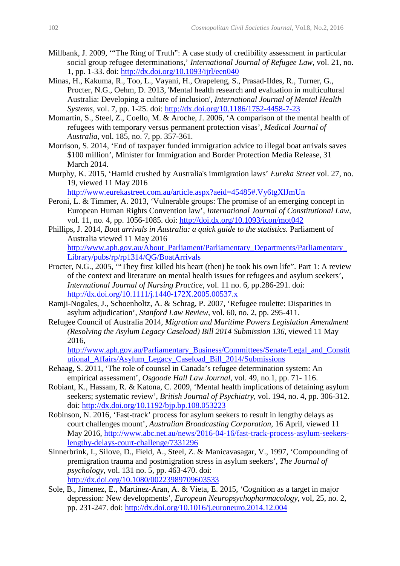- Millbank, J. 2009, '"The Ring of Truth": A case study of credibility assessment in particular social group refugee determinations,' *International Journal of Refugee Law,* vol. 21, no. 1, pp. 1-33. doi:<http://dx.doi.org/10.1093/ijrl/een040>
- Minas, H., Kakuma, R., Too, L., Vayani, H., Orapeleng, S., Prasad-Ildes, R., Turner, G., Procter, N.G., Oehm, D. 2013, 'Mental health research and evaluation in multicultural Australia: Developing a culture of inclusion', *International Journal of Mental Health Systems*, vol. 7, pp. 1-25. doi:<http://dx.doi.org/10.1186/1752-4458-7-23>
- Momartin, S., Steel, Z., Coello, M. & Aroche, J. 2006, 'A comparison of the mental health of refugees with temporary versus permanent protection visas', *Medical Journal of Australia,* vol. 185, no. 7, pp. 357-361.
- Morrison, S. 2014, 'End of taxpayer funded immigration advice to illegal boat arrivals saves \$100 million', Minister for Immigration and Border Protection Media Release, 31 March 2014.
- Murphy, K. 2015, 'Hamid crushed by Australia's immigration laws' *Eureka Street* vol. 27, no. 19, viewed 11 May 2016

[http://www.eurekastreet.com.au/article.aspx?aeid=45485#.Vy6tgXlJmUn](http://www.eurekastreet.com.au/article.aspx?aeid=45485%23.Vy6tgXlJmUn)

- Peroni, L. & Timmer, A. 2013, 'Vulnerable groups: The promise of an emerging concept in European Human Rights Convention law', *International Journal of Constitutional Law,*  vol. 11, no. 4, pp. 1056-1085. doi:<http://doi.dx.org/10.1093/icon/mot042>
- Phillips, J. 2014, *Boat arrivals in Australia: a quick guide to the statistics*. Parliament of Australia viewed 11 May 2016 [http://www.aph.gov.au/About\\_Parliament/Parliamentary\\_Departments/Parliamentary\\_](http://www.aph.gov.au/About_Parliament/Parliamentary_Departments/Parliamentary_Library/pubs/rp/rp1314/QG/BoatArrivals) [Library/pubs/rp/rp1314/QG/BoatArrivals](http://www.aph.gov.au/About_Parliament/Parliamentary_Departments/Parliamentary_Library/pubs/rp/rp1314/QG/BoatArrivals)
- Procter, N.G., 2005, '"They first killed his heart (then) he took his own life". Part 1: A review of the context and literature on mental health issues for refugees and asylum seekers', *International Journal of Nursing Practice*, vol. 11 no. 6, pp.286-291. doi: <http://dx.doi.org/10.1111/j.1440-172X.2005.00537.x>
- Ramji-Nogales, J., Schoenholtz, A. & Schrag, P. 2007, 'Refugee roulette: Disparities in asylum adjudication', *Stanford Law Review,* vol. 60, no. 2, pp. 295-411.
- Refugee Council of Australia 2014, *Migration and Maritime Powers Legislation Amendment (Resolving the Asylum Legacy Caseload) Bill 2014 Submission 136,* viewed 11 May 2016,

[http://www.aph.gov.au/Parliamentary\\_Business/Committees/Senate/Legal\\_and\\_Constit](http://www.aph.gov.au/Parliamentary_Business/Committees/Senate/Legal_and_Constitutional_Affairs/Asylum_Legacy_Caseload_Bill_2014/Submissions) [utional\\_Affairs/Asylum\\_Legacy\\_Caseload\\_Bill\\_2014/Submissions](http://www.aph.gov.au/Parliamentary_Business/Committees/Senate/Legal_and_Constitutional_Affairs/Asylum_Legacy_Caseload_Bill_2014/Submissions)

- Rehaag, S. 2011, 'The role of counsel in Canada's refugee determination system: An empirical assessment', *Osgoode Hall Law Journal,* vol. 49, no.1, pp. 71- 116.
- Robiant, K., Hassam, R. & Katona, C. 2009, 'Mental health implications of detaining asylum seekers; systematic review', *British Journal of Psychiatry,* vol. 194, no. 4, pp. 306-312. doi:<http://dx.doi.org/10.1192/bjp.bp.108.053223>
- Robinson, N. 2016, 'Fast-track' process for asylum seekers to result in lengthy delays as court challenges mount', *Australian Broadcasting Corporation,* 16 April, viewed 11 May 2016, [http://www.abc.net.au/news/2016-04-16/fast-track-process-asylum-seekers](http://www.abc.net.au/news/2016-04-16/fast-track-process-asylum-seekers-lengthy-delays-court-challenge/7331296)[lengthy-delays-court-challenge/7331296](http://www.abc.net.au/news/2016-04-16/fast-track-process-asylum-seekers-lengthy-delays-court-challenge/7331296)
- Sinnerbrink, I., Silove, D., Field, A., Steel, Z. & Manicavasagar, V., 1997, 'Compounding of premigration trauma and postmigration stress in asylum seekers', *The Journal of psychology*, vol. 131 no. 5, pp. 463-470. doi: <http://dx.doi.org/10.1080/00223989709603533>
- Sole, B., Jimenez, E., Martinez-Aran, A. & Vieta, E. 2015, 'Cognition as a target in major depression: New developments', *European Neuropsychopharmacology*, vol, 25, no. 2, pp. 231-247. doi: <http://dx.doi.org/10.1016/j.euroneuro.2014.12.004>